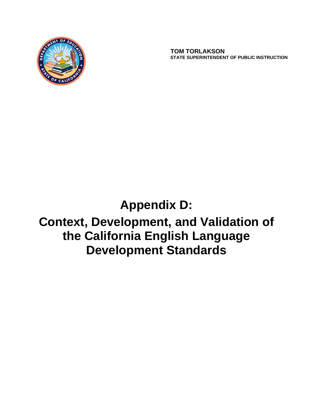

 **TOM TORLAKSON STATE SUPERINTENDENT OF PUBLIC INSTRUCTION**

# **Appendix D:**

# **Context, Development, and Validation of the California English Language Development Standards**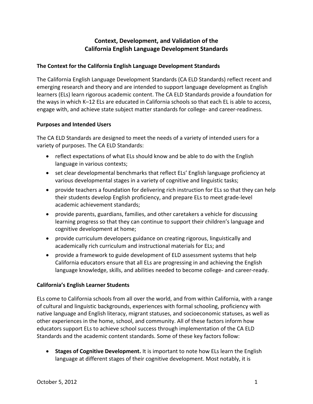# **Context, Development, and Validation of the California English Language Development Standards**

# **The Context for the California English Language Development Standards**

The California English Language Development Standards (CA ELD Standards) reflect recent and emerging research and theory and are intended to support language development as English learners (ELs) learn rigorous academic content. The CA ELD Standards provide a foundation for the ways in which K–12 ELs are educated in California schools so that each EL is able to access, engage with, and achieve state subject matter standards for college- and career-readiness.

## **Purposes and Intended Users**

The CA ELD Standards are designed to meet the needs of a variety of intended users for a variety of purposes. The CA ELD Standards:

- reflect expectations of what ELs should know and be able to do with the English language in various contexts;
- set clear developmental benchmarks that reflect ELs' English language proficiency at various developmental stages in a variety of cognitive and linguistic tasks;
- provide teachers a foundation for delivering rich instruction for ELs so that they can help their students develop English proficiency, and prepare ELs to meet grade‐level academic achievement standards;
- provide parents, guardians, families, and other caretakers a vehicle for discussing learning progress so that they can continue to support their children's language and cognitive development at home;
- provide curriculum developers guidance on creating rigorous, linguistically and academically rich curriculum and instructional materials for ELs; and
- provide a framework to guide development of ELD assessment systems that help California educators ensure that all ELs are progressing in and achieving the English language knowledge, skills, and abilities needed to become college‐ and career‐ready.

## **California's English Learner Students**

ELs come to California schools from all over the world, and from within California, with a range of cultural and linguistic backgrounds, experiences with formal schooling, proficiency with native language and English literacy, migrant statuses, and socioeconomic statuses, as well as other experiences in the home, school, and community. All of these factors inform how educators support ELs to achieve school success through implementation of the CA ELD Standards and the academic content standards. Some of these key factors follow:

 **Stages of Cognitive Development.** It is important to note how ELs learn the English language at different stages of their cognitive development. Most notably, it is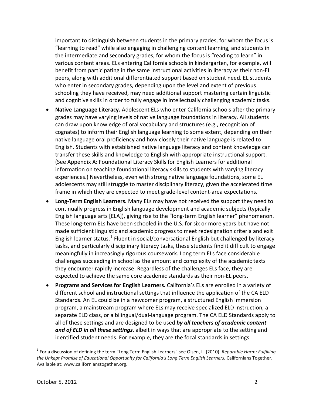important to distinguish between students in the primary grades, for whom the focus is "learning to read" while also engaging in challenging content learning, and students in the intermediate and secondary grades, for whom the focus is "reading to learn" in various content areas. ELs entering California schools in kindergarten, for example, will benefit from participating in the same instructional activities in literacy as their non‐EL peers, along with additional differentiated support based on student need. EL students who enter in secondary grades, depending upon the level and extent of previous schooling they have received, may need additional support mastering certain linguistic and cognitive skills in order to fully engage in intellectually challenging academic tasks.

- **Native Language Literacy.** Adolescent ELs who enter California schools after the primary grades may have varying levels of native language foundations in literacy. All students can draw upon knowledge of oral vocabulary and structures (e.g., recognition of cognates) to inform their English language learning to some extent, depending on their native language oral proficiency and how closely their native language is related to English. Students with established native language literacy and content knowledge can transfer these skills and knowledge to English with appropriate instructional support. (See Appendix A: Foundational Literacy Skills for English Learners for additional information on teaching foundational literacy skills to students with varying literacy experiences.) Nevertheless, even with strong native language foundations, some EL adolescents may still struggle to master disciplinary literacy, given the accelerated time frame in which they are expected to meet grade‐level content‐area expectations.
- **Long‐Term English Learners.** Many ELs may have not received the support they need to continually progress in English language development and academic subjects (typically English language arts [ELA]), giving rise to the "long‐term English learner" phenomenon. These long‐term ELs have been schooled in the U.S. for six or more years but have not made sufficient linguistic and academic progress to meet redesignation criteria and exit English learner status.<sup>[1](#page-2-0)</sup> Fluent in social/conversational English but challenged by literacy tasks, and particularly disciplinary literacy tasks, these students find it difficult to engage meaningfully in increasingly rigorous coursework. Long term ELs face considerable challenges succeeding in school as the amount and complexity of the academic texts they encounter rapidly increase. Regardless of the challenges ELs face, they are expected to achieve the same core academic standards as their non‐EL peers.
- *and of ELD in all these settings*, albeit in ways that are appropriate to the setting and identified student needs. For example, they are the focal standards in settings **Programs and Services for English Learners.** California's ELs are enrolled in a variety of different school and instructional settings that influence the application of the CA ELD Standards. An EL could be in a newcomer program, a structured English immersion program, a mainstream program where ELs may receive specialized ELD instruction, a separate ELD class, or a bilingual/dual-language program. The CA ELD Standards apply to all of these settings and are designed to be used *by all teachers of academic content*

<span id="page-2-0"></span><sup>1</sup> For a discussion of defining the term "Long Term English Learners" see Olsen, L. (2010). *Reparable Harm: Fulfilling the Unkept Promise of Educational Opportunity for California's Long Term English Learners.* Californians Together. Available at: www.californianstogether.org.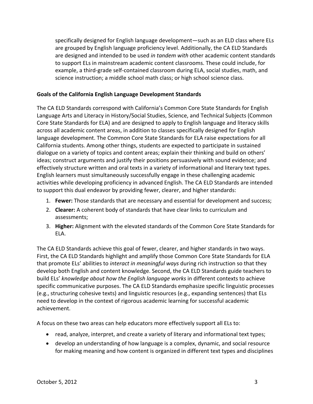specifically designed for English language development—such as an ELD class where ELs are grouped by English language proficiency level. Additionally, the CA ELD Standards are designed and intended to be used *in tandem with* other academic content standards to support ELs in mainstream academic content classrooms. These could include, for example, a third‐grade self‐contained classroom during ELA, social studies, math, and science instruction; a middle school math class; or high school science class.

#### **Goals of the California English Language Development Standards**

The CA ELD Standards correspond with California's Common Core State Standards for English Language Arts and Literacy in History/Social Studies, Science, and Technical Subjects (Common Core State Standards for ELA) and are designed to apply to English language and literacy skills across all academic content areas, in addition to classes specifically designed for English language development. The Common Core State Standards for ELA raise expectations for all California students. Among other things, students are expected to participate in sustained dialogue on a variety of topics and content areas; explain their thinking and build on others' ideas; construct arguments and justify their positions persuasively with sound evidence; and effectively structure written and oral texts in a variety of informational and literary text types. English learners must simultaneously successfully engage in these challenging academic activities while developing proficiency in advanced English. The CA ELD Standards are intended to support this dual endeavor by providing fewer, clearer, and higher standards:

- 1. **Fewer:** Those standards that are necessary and essential for development and success;
- 2. **Clearer:** A coherent body of standards that have clear links to curriculum and assessments;
- 3. **Higher:** Alignment with the elevated standards of the Common Core State Standards for ELA.

The CA ELD Standards achieve this goal of fewer, clearer, and higher standards in two ways. First, the CA ELD Standards highlight and amplify those Common Core State Standards for ELA that promote ELs' abilities to *interact in meaningful ways* during rich instruction so that they develop both English and content knowledge. Second, the CA ELD Standards guide teachers to build ELs' *knowledge about how the English language works* in different contexts to achieve specific communicative purposes. The CA ELD Standards emphasize specific linguistic processes (e.g., structuring cohesive texts) and linguistic resources (e.g., expanding sentences) that ELs need to develop in the context of rigorous academic learning for successful academic achievement.

A focus on these two areas can help educators more effectively support all ELs to:

- read, analyze, interpret, and create a variety of literary and informational text types;
- develop an understanding of how language is a complex, dynamic, and social resource for making meaning and how content is organized in different text types and disciplines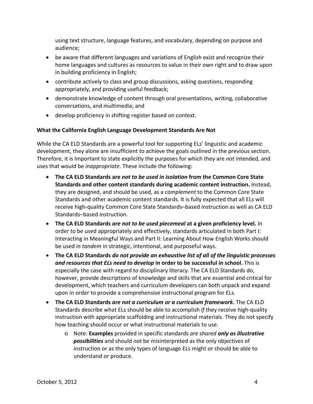using text structure, language features, and vocabulary, depending on purpose and audience;

- be aware that different languages and variations of English exist and recognize their home languages and cultures as resources to value in their own right and to draw upon in building proficiency in English;
- contribute actively to class and group discussions, asking questions, responding appropriately, and providing useful feedback;
- demonstrate knowledge of content through oral presentations, writing, collaborative conversations, and multimedia; and
- develop proficiency in shifting register based on context.

## **What the California English Language Development Standards Are Not**

While the CA ELD Standards are a powerful tool for supporting ELs' linguistic and academic development, they alone are insufficient to achieve the goals outlined in the previous section. Therefore, it is Important to state explicitly the purposes for which they are *not* intended, and uses that would be *inappropriate*. These include the following:

- **The CA ELD Standards are** *not to be used in isolation* **from the Common Core State Standards and other content standards during academic content instruction.** Instead, they are designed, and should be used, as a *complement* to the Common Core State Standards and other academic content standards. It is fully expected that all ELs will receive high‐quality Common Core State Standards–based instruction as well as CA ELD Standards–based instruction.
- **The CA ELD Standards** *are not to be used piecemeal* **at a given proficiency level.** In order to be used appropriately and effectively, standards articulated in both Part I: Interacting in Meaningful Ways and Part II: Learning About How English Works should be used *in tandem* in strategic, intentional, and purposeful ways.
- **The CA ELD Standards** *do not provide an exhaustive list of all of the linguistic processes and resources that ELs need to develop* **in order to be successful in school.** This is especially the case with regard to disciplinary literacy. The CA ELD Standards do, however, provide descriptions of knowledge and skills that are essential and critical for development, which teachers and curriculum developers can both unpack and expand upon in order to provide a comprehensive instructional program for ELs.
- **The CA ELD Standards** *are not a curriculum or a curriculum framework***.** The CA ELD Standards describe what ELs should be able to accomplish *if* they receive high‐quality instruction with appropriate scaffolding and instructional materials. They do not specify how teaching should occur or what instructional materials to use.
	- o Note: **Examples** provided in specific standards *are shared only as illustrative possibilities* and should *not* be misinterpreted as the only objectives of instruction or as the only types of language ELs might or should be able to understand or produce.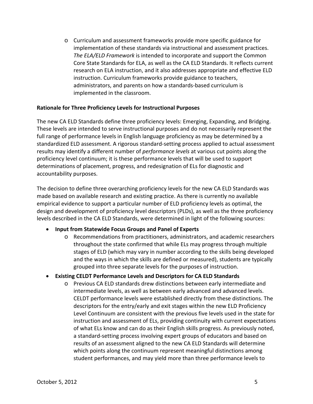o Curriculum and assessment frameworks provide more specific guidance for implementation of these standards via instructional and assessment practices. *The ELA/ELD Framework* is intended to incorporate and support the Common Core State Standards for ELA, as well as the CA ELD Standards. It reflects current research on ELA instruction, and it also addresses appropriate and effective ELD instruction. Curriculum frameworks provide guidance to teachers, administrators, and parents on how a standards‐based curriculum is implemented in the classroom.

#### **Rationale for Three Proficiency Levels for Instructional Purposes**

The new CA ELD Standards define three proficiency levels: Emerging, Expanding, and Bridging. These levels are intended to serve instructional purposes and do not necessarily represent the full range of performance levels in English language proficiency as may be determined by a standardized ELD assessment. A rigorous standard‐setting process applied to actual assessment results may identify a different number of *performance levels* at various cut points along the proficiency level continuum; it is these performance levels that will be used to support determinations of placement, progress, and redesignation of ELs for diagnostic and accountability purposes.

The decision to define three overarching proficiency levels for the new CA ELD Standards was made based on available research and existing practice. As there is currently no available empirical evidence to support a particular number of ELD proficiency levels as optimal, the design and development of proficiency level descriptors (PLDs), as well as the three proficiency levels described in the CA ELD Standards, were determined in light of the following sources:

#### **Input from Statewide Focus Groups and Panel of Experts**

o Recommendations from practitioners, administrators, and academic researchers throughout the state confirmed that while ELs may progress through multiple stages of ELD (which may vary in number according to the skills being developed and the ways in which the skills are defined or measured), students are typically grouped into three separate levels for the purposes of instruction.

#### **Existing CELDT Performance Levels and Descriptors for CA ELD Standards**

o Previous CA ELD standards drew distinctions between early intermediate and intermediate levels, as well as between early advanced and advanced levels. CELDT performance levels were established directly from these distinctions. The descriptors for the entry/early and exit stages within the new ELD Proficiency Level Continuum are consistent with the previous five levels used in the state for instruction and assessment of ELs, providing continuity with current expectations of what ELs know and can do as their English skills progress. As previously noted, a standard‐setting process involving expert groups of educators and based on results of an assessment aligned to the new CA ELD Standards will determine which points along the continuum represent meaningful distinctions among student performances, and may yield more than three performance levels to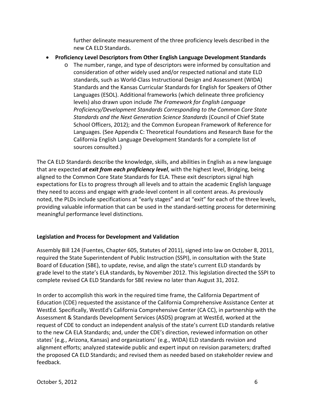further delineate measurement of the three proficiency levels described in the new CA ELD Standards.

- **Proficiency Level Descriptors from Other English Language Development Standards** 
	- o The number, range, and type of descriptors were informed by consultation and consideration of other widely used and/or respected national and state ELD standards, such as World‐Class Instructional Design and Assessment (WIDA) Standards and the Kansas Curricular Standards for English for Speakers of Other Languages (ESOL). Additional frameworks (which delineate three proficiency levels) also drawn upon include *The Framework for English Language Proficiency/Development Standards Corresponding to the Common Core State Standards and the Next Generation Science Standards* (Council of Chief State School Officers, 2012); and the Common European Framework of Reference for Languages. (See Appendix C: Theoretical Foundations and Research Base for the California English Language Development Standards for a complete list of sources consulted.)

The CA ELD Standards describe the knowledge, skills, and abilities in English as a new language that are expected *at exit from each proficiency level*, with the highest level, Bridging, being aligned to the Common Core State Standards for ELA. These exit descriptors signal high expectations for ELs to progress through all levels and to attain the academic English language they need to access and engage with grade‐level content in all content areas. As previously noted, the PLDs include specifications at "early stages" and at "exit" for each of the three levels, providing valuable information that can be used in the standard‐setting process for determining meaningful performance level distinctions.

# **Legislation and Process for Development and Validation**

Assembly Bill 124 (Fuentes, Chapter 605, Statutes of 2011), signed into law on October 8, 2011, required the State Superintendent of Public Instruction (SSPI), in consultation with the State Board of Education (SBE), to update, revise, and align the state's current ELD standards by grade level to the state's ELA standards, by November 2012. This legislation directed the SSPI to complete revised CA ELD Standards for SBE review no later than August 31, 2012.

In order to accomplish this work in the required time frame, the California Department of Education (CDE) requested the assistance of the California Comprehensive Assistance Center at WestEd. Specifically, WestEd's California Comprehensive Center (CA CC), in partnership with the Assessment & Standards Development Services (ASDS) program at WestEd, worked at the request of CDE to conduct an independent analysis of the state's current ELD standards relative to the new CA ELA Standards; and, under the CDE's direction, reviewed information on other states' (e.g., Arizona, Kansas) and organizations' (e.g., WIDA) ELD standards revision and alignment efforts; analyzed statewide public and expert input on revision parameters; drafted the proposed CA ELD Standards; and revised them as needed based on stakeholder review and feedback.